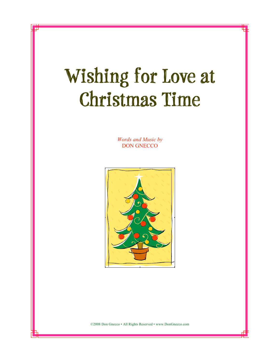## **Wishing for Love at Christmas Time**

*Words and Music by*  DON GNECCO



©2008 Don Gnecco • All Rights Reserved • www.DonGnecco.com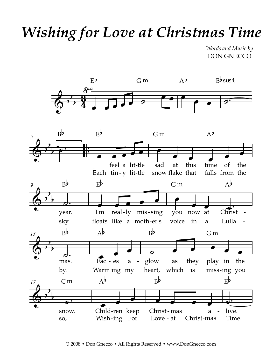## *Wishing for Love at Christmas Time*

*Words and Music by* DON GNECCO

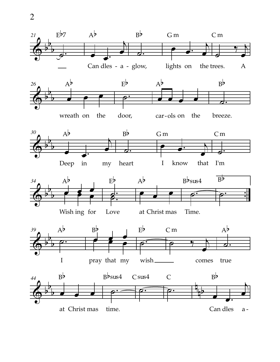

at Christ mas time. Can dles a -

2